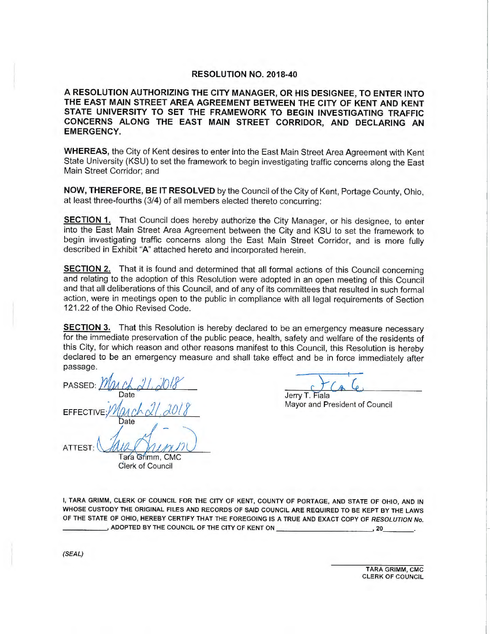#### **RESOLUTION NO. 2018-40**

**A RESOLUTION AUTHORIZING THE CITY MANAGER, OR HIS DESIGNEE, TO ENTER INTO THE EAST MAIN STREET AREA AGREEMENT BETWEEN THE CITY OF KENT AND KENT STATE UNIVERSITY TO SET THE FRAMEWORK TO BEGIN INVESTIGATING TRAFFIC CONCERNS ALONG THE EAST MAIN STREET CORRIDOR, AND DECLARING AN EMERGENCY.** 

**WHEREAS,** the City of Kent desires to enter into the East Main Street Area Agreement with Kent State University (KSU) to set the framework to begin investigating traffic concerns along the East Main Street Corridor; and

**NOW, THEREFORE, BE IT RESOLVED** by the Council of the City of Kent, Portage County, Ohio, at least three-fourths (3/4) of all members elected thereto concurring:

**SECTION 1.** That Council does hereby authorize the City Manager, or his designee, to enter into the East Main Street Area Agreement between the City and KSU to set the framework to begin investigating traffic concerns along the East Main Street Corridor, and is more fully described in Exhibit "A" attached hereto and incorporated herein.

**SECTION 2.** That it is found and determined that all formal actions of this Council concerning and relating to the adoption of this Resolution were adopted in an open meeting of this Council and that all deliberations of this Council, and of any of its committees that resulted in such formal action, were in meetings open to the public in compliance with all legal requirements of Section 121 .22 of the Ohio Revised Code.

**SECTION 3.** That this Resolution is hereby declared to be an emergency measure necessary for the immediate preservation of the public peace, health, safety and welfare of the residents of this City, for which reason and other reasons manifest to this Council, this Resolution is hereby declared to be an emergency measure and shall take effect and be in force immediately after passage.

PASSED: <u>March 21, 2018</u> Date EFFECTIVE:  $M$  and  $\alpha$   $\beta$ ate  $ATTEST: \n\frac{\text{Area}(A_{\text{L},\text{L},\text{L}})}{T_{\text{data}}}\n\frac{1}{\text{Grim. CMC}}$ 

Jerry T. Fiala Mayor and President of Council

Tara Grimm, CMC Clerk of Council

I, TARA GRIMM, CLERK OF COUNCIL FOR THE CITY OF KENT, COUNTY OF PORTAGE, AND STATE OF OHIO, AND IN WHOSE CUSTODY THE ORIGINAL FILES AND RECORDS OF SAID COUNCIL ARE REQUIRED TO BE KEPT BY THE LAWS OF THE STATE OF OHIO, HEREBY CERTIFY THAT THE FOREGOING IS A TRUE AND EXACT COPY OF RESOLUTION No. \_\_\_\_ \_, ADOPTED BY THE COUNCIL OF THE CITY OF KENT ON \_\_\_\_\_\_\_\_ \_, 20. \_\_ \_

(SEAL)

TARA GRIMM, CMC CLERK OF COUNCIL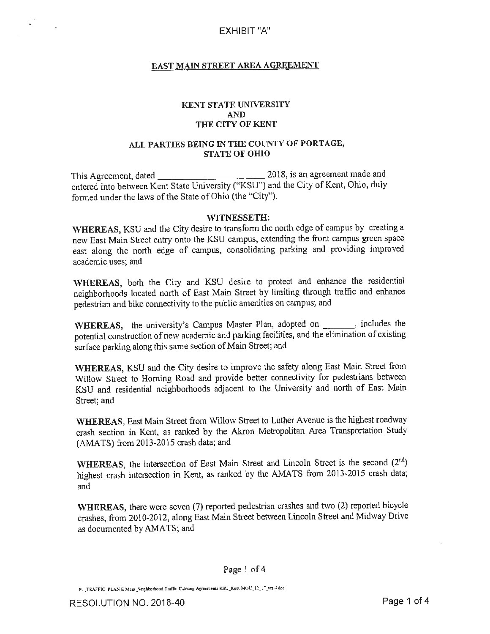## **EAST MAIN STREET AREA AGREEMENT**

## **KENT STATE UNIVERSITY AND THE CITY OF KENT**

## **ALL PARTIES BEING** IN **THE COUNTY OF PORT AGE, STATE OF OHIO**

This Agreement, dated \_\_\_\_\_\_\_\_\_\_\_ 2018, is an agreement made and entered into between Kent State University ("KSU") and the City of Kent, Ohio, duly formed under the laws of the State of Ohio (the "City").

#### WITNESSETH:

**WHEREAS,** KSU and the City desire to transform the north edge of campus by creating a new East Main Street entry onto the KSU campus, extending the front campus green space east along the north edge of campus, consolidating parking and providing improved academic uses; and

**WHEREAS,** both the City and KSU desire to protect and enhance the residential neighborhoods located north of East Main Street by limiting through traffic and enhance pedestrian and bike connectivity to the public amenities on campus; and

WHEREAS, the university's Campus Master Plan, adopted on \_\_\_\_\_\_\_, includes the potential construction of new academic and parking facilities, and the elimination of existing surface parking along this same section of Main Street; and

**WHEREAS,** KSU and the City desire to improve the safety along East Main Street from Willow Street to Homing Road and provide better connectivity for pedestrians between KSU and residential neighborhoods adjacent to the University and north of East Main Street; and

**WHEREAS,** East Main Street from Willow Street to Luther Avenue is the highest roadway crash section in Kent, as ranked by the Akron Metropolitan Area Transportation Study (AMATS) from 2013-2015 crash data; and

WHEREAS, the intersection of East Main Street and Lincoln Street is the second (2<sup>nd</sup>) highest crash intersection in Kent, as ranked by the AMATS from 2013-2015 crash data; and

**WHEREAS,** there were seven (7) reported pedestrian crashes and two (2) reported bicycle crashes, from 2010-2012, along East Main Street between Lincoln Street and Midway Drive as documented by AMATS; and

Page 1 of 4

P. \_TRAFFIC\_PLAN E Main .Neighborhood Traffic Calming Agreements KSU \_Kent MOL'\_12\_17\_vrs 4 doc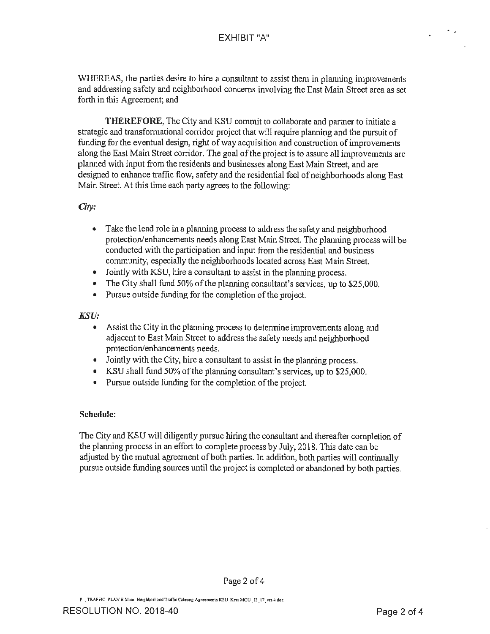WHEREAS, the parties desire to hire a consultant to assist them in planning improvements and addressing safety and neighborhood concerns involving the East Main Street area as set forth in this Agreement; and

**THEREFORE,** The City and KSU commit to collaborate and partner to initiate a strategic and transformational corridor project that will require planning and the pursuit of funding for the eventual design, right of way acquisition and construction of improvements along the East Main Street corridor. The goal of the project is to assure all improvements are planned with input from the residents and businesses along East Main Street, and are designed to enhance traffic flow, safety and the residential feel of neighborhoods along East Main Street. At this time each party agrees to the following:

## *City:*

- Take the lead role in a planning process to address the safety and neighborhood protection/enhancements needs along East Main Street. The planning process will be conducted with the participation and input from the residential and business community, especially the neighborhoods located across East Main Street.
- Jointly with KSU, hire a consultant to assist in the planning process.
- The City shall fund 50% of the planning consultant's services, up to \$25,000.
- Pursue outside funding for the completion of the project.

## *KSU:*

- Assist the City in the planning process to detennine improvements along and adjacent to East Main Street to address the safety needs and neighborhood protection/enhancements needs.
- Jointly with the City, hire a consultant to assist in the planning process.
- KSU shall fund 50% of the planning consultant's services, up to \$25,000.
- Pursue outside funding for the completion of the project.

## **Schedule:**

The City and KSU will diligently pursue hiring the consultant and thereafter completion of the planning process in an effort to complete process by July, 2018. This date can be adjusted by the mutual agreement of both parties. In addition, both parties will continually pursue outside funding sources until the project is completed or abandoned by both parties.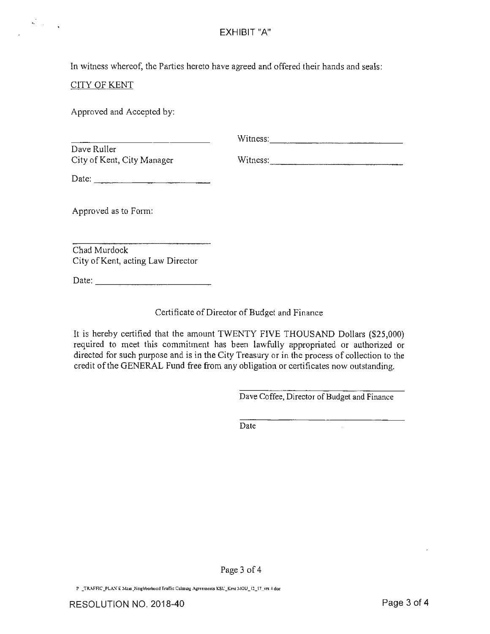In witness whereof, the Parties hereto have agreed and offered their hands and seals:

# CITY OF KENT

 $\mathbf{b}_{\mathrm{max}}^{(k)}$  and  $\mathbf{b}_{\mathrm{max}}^{(k)}$ 

Approved and Accepted by:

| Dave Ruller<br>City of Kent, City Manager                | Witness: 2008. Express and the state of the state of the state of the state of the state of the state of the state of the state of the state of the state of the state of the state of the state of the state of the state of<br>Witness: |
|----------------------------------------------------------|-------------------------------------------------------------------------------------------------------------------------------------------------------------------------------------------------------------------------------------------|
| Date: $\frac{1}{\sqrt{1-\frac{1}{2}} \cdot \frac{1}{2}}$ |                                                                                                                                                                                                                                           |
| Approved as to Form:                                     |                                                                                                                                                                                                                                           |
| Chad Murdock<br>City of Kent, acting Law Director        |                                                                                                                                                                                                                                           |

Date:  $\Box$ 

Certificate of Director of Budget and Finance

It is hereby certified that the amount TWENTY FIVE THOUSAND Dollars (\$25,000) required to meet this commitment has been lawfully appropriated or authorized or directed for such purpose and is in the City Treasury or in the process of collection to the credit of the GENERAL Fund free from any obligation or certificates now outstanding.

Dave Coffee, Director of Budget and Finance

Date

Page 3 of 4

**P \_TRAFFIC \_PLA....;- E M.ii.a .. :-:e1ghborhood Tco1ffic Calmin!; A!i:rccm~nts KSt:\_Ken, MOU\_l1\_17 ~·'-TS--' doc**